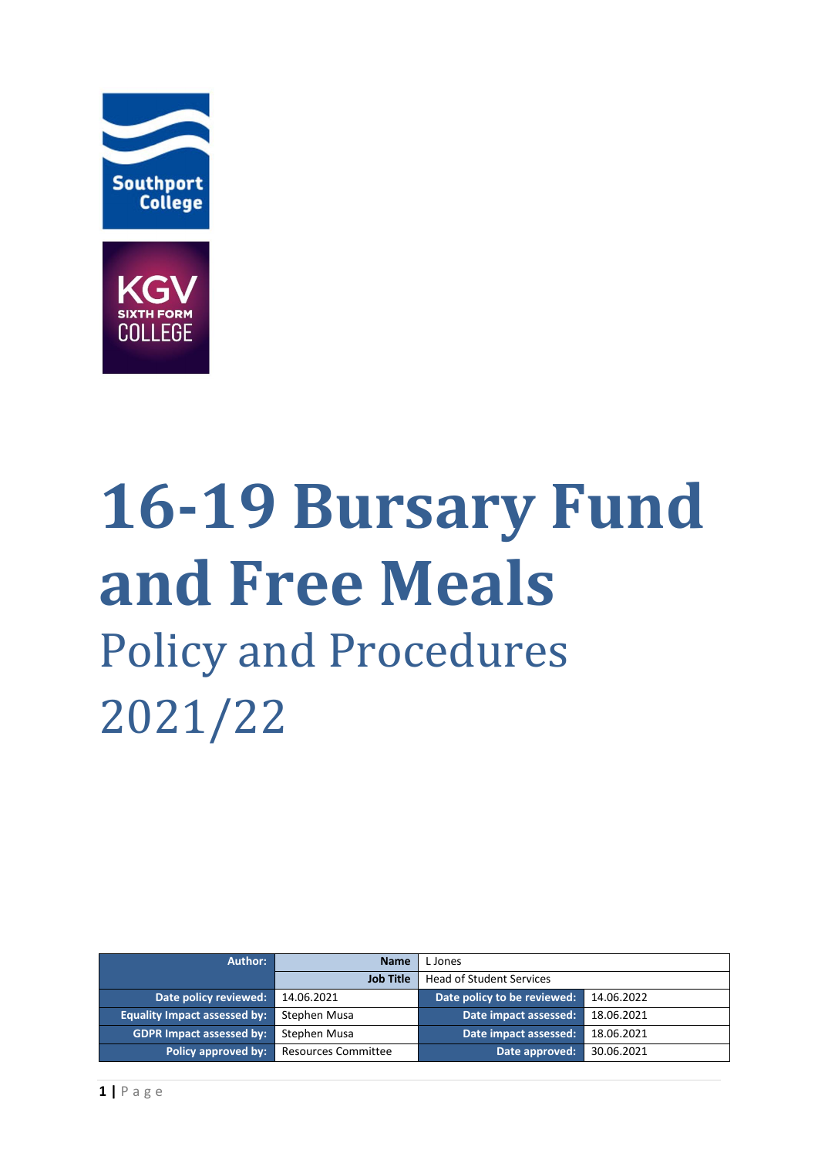



# **16-19 Bursary Fund and Free Meals** Policy and Procedures 2021/22

| Author:                             | <b>Name</b>                | L Jones                         |            |
|-------------------------------------|----------------------------|---------------------------------|------------|
|                                     | <b>Job Title</b>           | <b>Head of Student Services</b> |            |
| Date policy reviewed:               | 14.06.2021                 | Date policy to be reviewed:     | 14.06.2022 |
| <b>Equality Impact assessed by:</b> | Stephen Musa               | Date impact assessed:           | 18.06.2021 |
| <b>GDPR Impact assessed by:</b>     | Stephen Musa               | Date impact assessed:           | 18.06.2021 |
| Policy approved by:                 | <b>Resources Committee</b> | Date approved:                  | 30.06.2021 |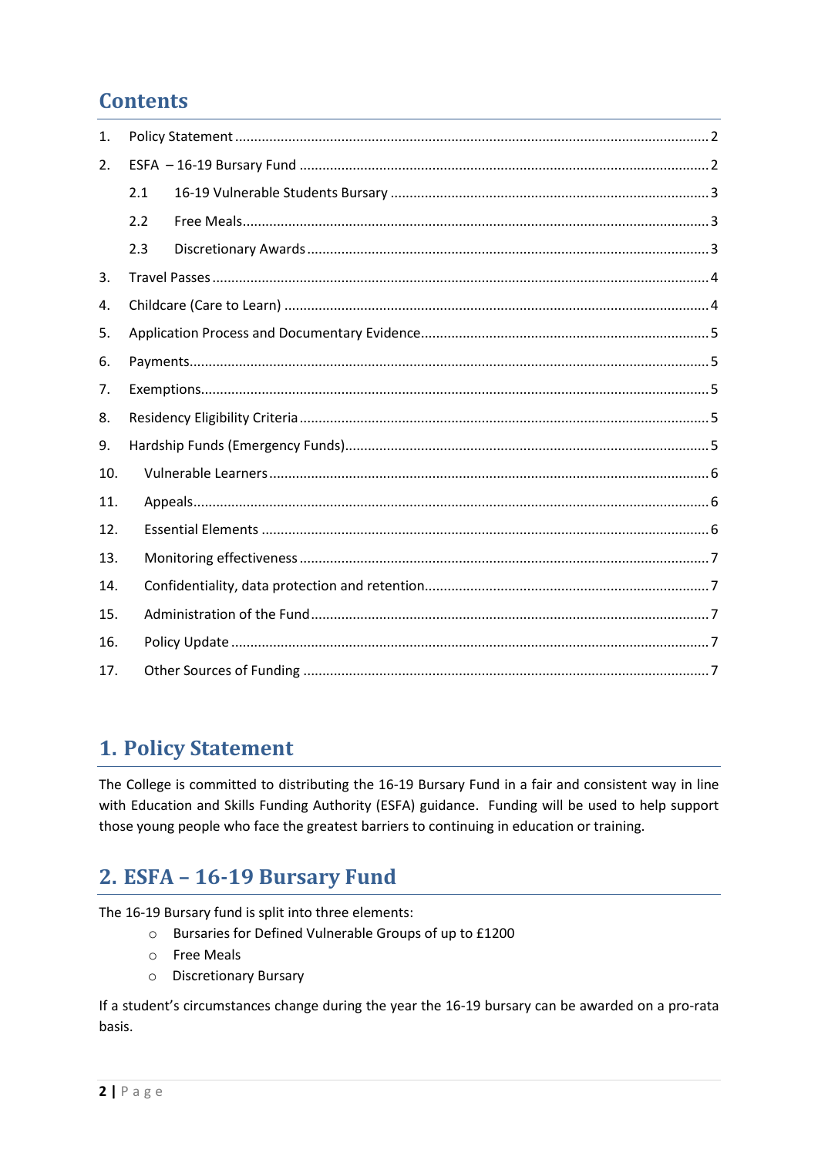## **Contents**

| $\mathbf{1}$ . |     |  |  |
|----------------|-----|--|--|
| 2.             |     |  |  |
|                | 2.1 |  |  |
|                | 2.2 |  |  |
|                | 2.3 |  |  |
| 3.             |     |  |  |
| 4.             |     |  |  |
| 5.             |     |  |  |
| 6.             |     |  |  |
| 7.             |     |  |  |
| 8.             |     |  |  |
| 9.             |     |  |  |
| 10.            |     |  |  |
| 11.            |     |  |  |
| 12.            |     |  |  |
| 13.            |     |  |  |
| 14.            |     |  |  |
| 15.            |     |  |  |
| 16.            |     |  |  |
| 17.            |     |  |  |
|                |     |  |  |

## <span id="page-1-0"></span>**1. Policy Statement**

The College is committed to distributing the 16-19 Bursary Fund in a fair and consistent way in line with Education and Skills Funding Authority (ESFA) guidance. Funding will be used to help support those young people who face the greatest barriers to continuing in education or training.

## <span id="page-1-1"></span>2. ESFA - 16-19 Bursary Fund

The 16-19 Bursary fund is split into three elements:

- o Bursaries for Defined Vulnerable Groups of up to £1200
- **Free Meals**  $\circ$
- O Discretionary Bursary

If a student's circumstances change during the year the 16-19 bursary can be awarded on a pro-rata basis.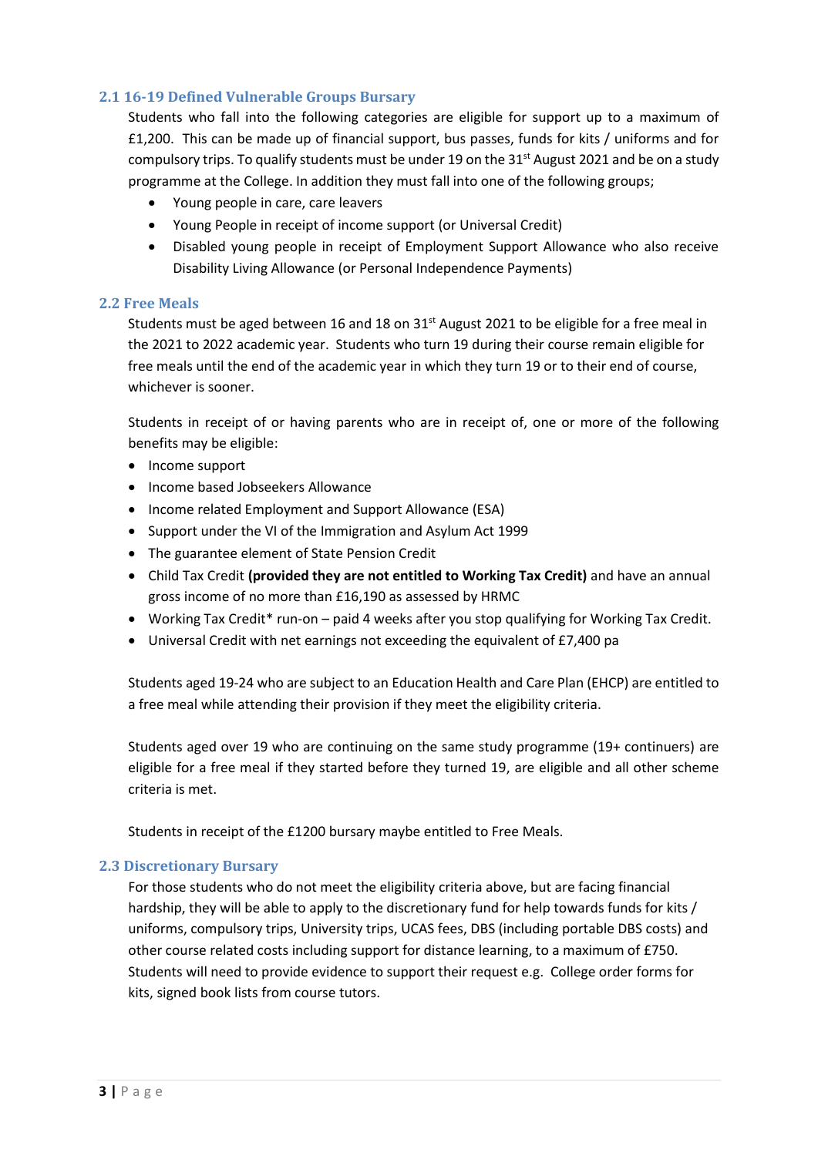## <span id="page-2-0"></span>**2.1 16-19 Defined Vulnerable Groups Bursary**

Students who fall into the following categories are eligible for support up to a maximum of £1,200. This can be made up of financial support, bus passes, funds for kits / uniforms and for compulsory trips. To qualify students must be under 19 on the  $31<sup>st</sup>$  August 2021 and be on a study programme at the College. In addition they must fall into one of the following groups;

- Young people in care, care leavers
- Young People in receipt of income support (or Universal Credit)
- Disabled young people in receipt of Employment Support Allowance who also receive Disability Living Allowance (or Personal Independence Payments)

#### <span id="page-2-1"></span>**2.2 Free Meals**

Students must be aged between 16 and 18 on 31<sup>st</sup> August 2021 to be eligible for a free meal in the 2021 to 2022 academic year. Students who turn 19 during their course remain eligible for free meals until the end of the academic year in which they turn 19 or to their end of course, whichever is sooner.

Students in receipt of or having parents who are in receipt of, one or more of the following benefits may be eligible:

- Income support
- Income based Jobseekers Allowance
- Income related Employment and Support Allowance (ESA)
- Support under the VI of the Immigration and Asylum Act 1999
- The guarantee element of State Pension Credit
- Child Tax Credit **(provided they are not entitled to Working Tax Credit)** and have an annual gross income of no more than £16,190 as assessed by HRMC
- Working Tax Credit\* run-on paid 4 weeks after you stop qualifying for Working Tax Credit.
- Universal Credit with net earnings not exceeding the equivalent of £7,400 pa

Students aged 19-24 who are subject to an Education Health and Care Plan (EHCP) are entitled to a free meal while attending their provision if they meet the eligibility criteria.

Students aged over 19 who are continuing on the same study programme (19+ continuers) are eligible for a free meal if they started before they turned 19, are eligible and all other scheme criteria is met.

Students in receipt of the £1200 bursary maybe entitled to Free Meals.

#### <span id="page-2-2"></span>**2.3 Discretionary Bursary**

For those students who do not meet the eligibility criteria above, but are facing financial hardship, they will be able to apply to the discretionary fund for help towards funds for kits / uniforms, compulsory trips, University trips, UCAS fees, DBS (including portable DBS costs) and other course related costs including support for distance learning, to a maximum of £750. Students will need to provide evidence to support their request e.g. College order forms for kits, signed book lists from course tutors.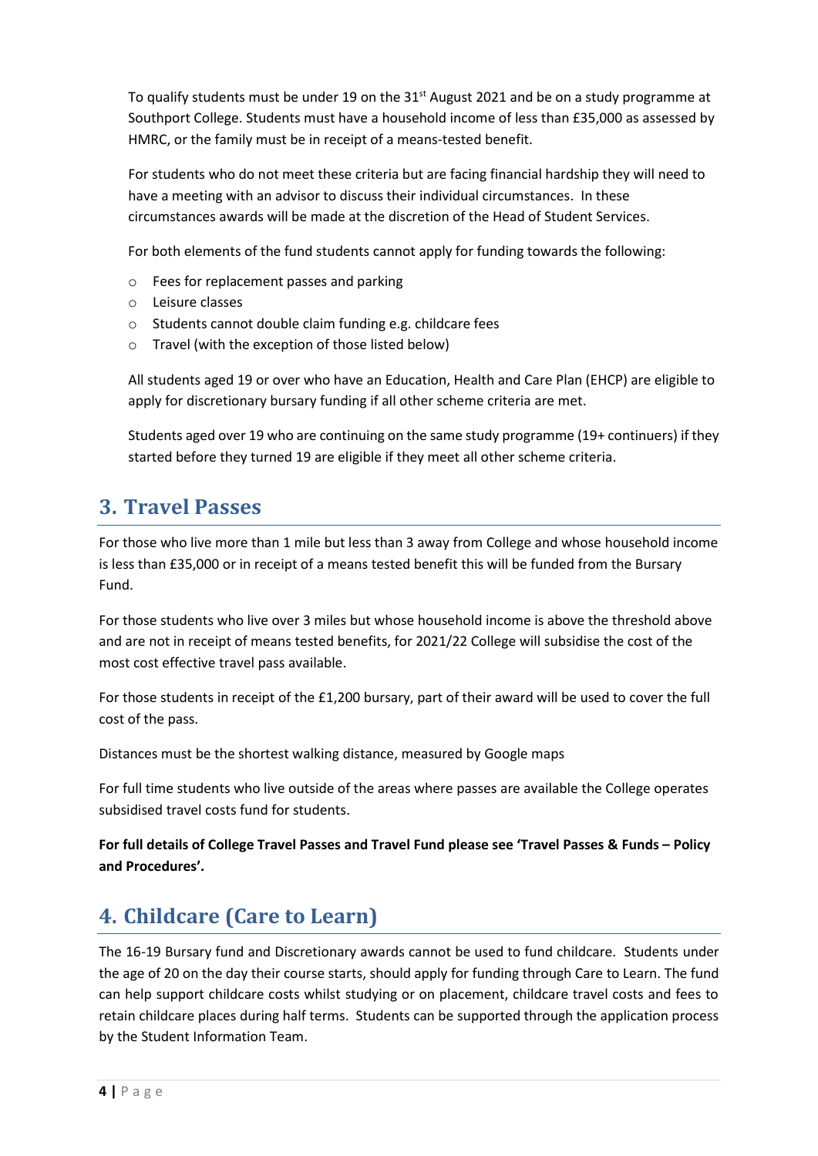To qualify students must be under 19 on the 31<sup>st</sup> August 2021 and be on a study programme at Southport College. Students must have a household income of less than £35,000 as assessed by HMRC, or the family must be in receipt of a means-tested benefit.

For students who do not meet these criteria but are facing financial hardship they will need to have a meeting with an advisor to discuss their individual circumstances. In these circumstances awards will be made at the discretion of the Head of Student Services.

For both elements of the fund students cannot apply for funding towards the following:

- o Fees for replacement passes and parking
- o Leisure classes
- o Students cannot double claim funding e.g. childcare fees
- o Travel (with the exception of those listed below)

All students aged 19 or over who have an Education, Health and Care Plan (EHCP) are eligible to apply for discretionary bursary funding if all other scheme criteria are met.

Students aged over 19 who are continuing on the same study programme (19+ continuers) if they started before they turned 19 are eligible if they meet all other scheme criteria.

## <span id="page-3-0"></span>**3. Travel Passes**

For those who live more than 1 mile but less than 3 away from College and whose household income is less than £35,000 or in receipt of a means tested benefit this will be funded from the Bursary Fund.

For those students who live over 3 miles but whose household income is above the threshold above and are not in receipt of means tested benefits, for 2021/22 College will subsidise the cost of the most cost effective travel pass available.

For those students in receipt of the £1,200 bursary, part of their award will be used to cover the full cost of the pass.

Distances must be the shortest walking distance, measured by Google maps

For full time students who live outside of the areas where passes are available the College operates subsidised travel costs fund for students.

**For full details of College Travel Passes and Travel Fund please see 'Travel Passes & Funds – Policy and Procedures'.**

# <span id="page-3-1"></span>**4. Childcare (Care to Learn)**

The 16-19 Bursary fund and Discretionary awards cannot be used to fund childcare. Students under the age of 20 on the day their course starts, should apply for funding through Care to Learn. The fund can help support childcare costs whilst studying or on placement, childcare travel costs and fees to retain childcare places during half terms. Students can be supported through the application process by the Student Information Team.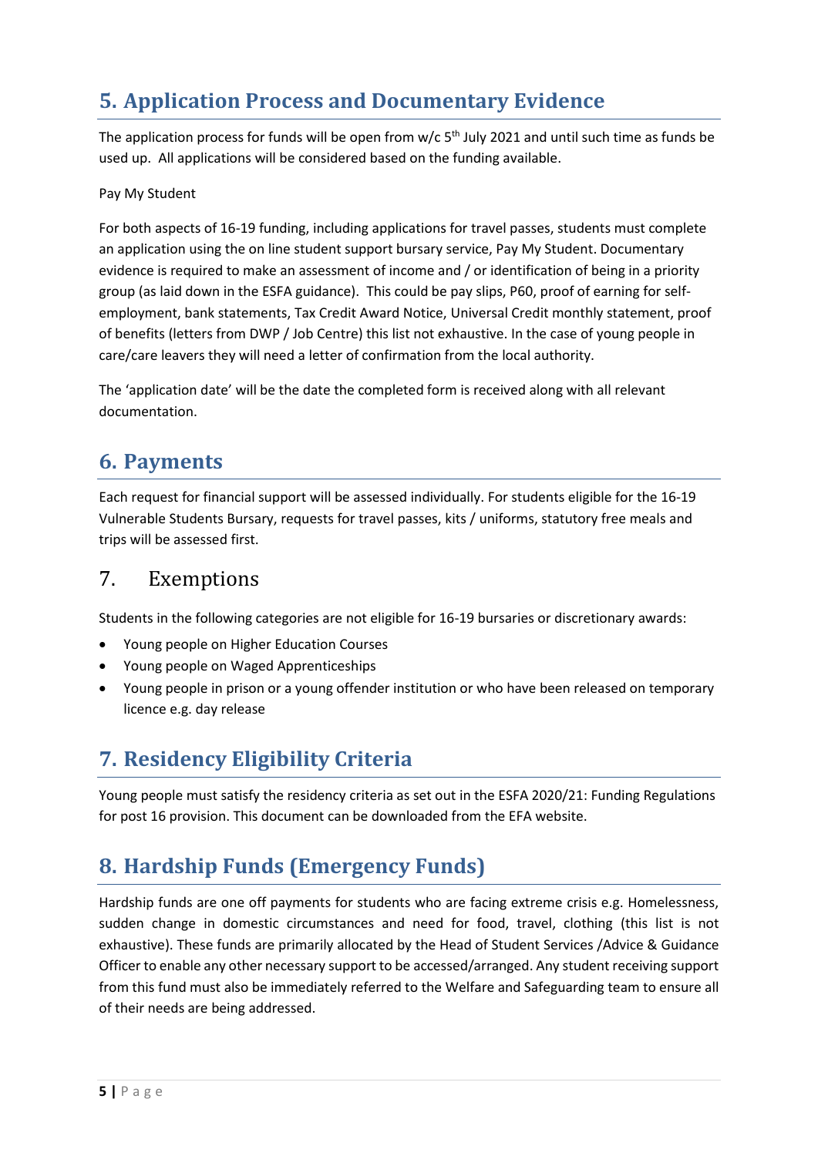# <span id="page-4-0"></span>**5. Application Process and Documentary Evidence**

The application process for funds will be open from  $w/c$  5<sup>th</sup> July 2021 and until such time as funds be used up. All applications will be considered based on the funding available.

## Pay My Student

For both aspects of 16-19 funding, including applications for travel passes, students must complete an application using the on line student support bursary service, Pay My Student. Documentary evidence is required to make an assessment of income and / or identification of being in a priority group (as laid down in the ESFA guidance). This could be pay slips, P60, proof of earning for selfemployment, bank statements, Tax Credit Award Notice, Universal Credit monthly statement, proof of benefits (letters from DWP / Job Centre) this list not exhaustive. In the case of young people in care/care leavers they will need a letter of confirmation from the local authority.

The 'application date' will be the date the completed form is received along with all relevant documentation.

## <span id="page-4-1"></span>**6. Payments**

Each request for financial support will be assessed individually. For students eligible for the 16-19 Vulnerable Students Bursary, requests for travel passes, kits / uniforms, statutory free meals and trips will be assessed first.

## <span id="page-4-2"></span>7. Exemptions

Students in the following categories are not eligible for 16-19 bursaries or discretionary awards:

- Young people on Higher Education Courses
- Young people on Waged Apprenticeships
- Young people in prison or a young offender institution or who have been released on temporary licence e.g. day release

## <span id="page-4-3"></span>**7. Residency Eligibility Criteria**

Young people must satisfy the residency criteria as set out in the ESFA 2020/21: Funding Regulations for post 16 provision. This document can be downloaded from the EFA website.

## <span id="page-4-4"></span>**8. Hardship Funds (Emergency Funds)**

Hardship funds are one off payments for students who are facing extreme crisis e.g. Homelessness, sudden change in domestic circumstances and need for food, travel, clothing (this list is not exhaustive). These funds are primarily allocated by the Head of Student Services /Advice & Guidance Officer to enable any other necessary support to be accessed/arranged. Any student receiving support from this fund must also be immediately referred to the Welfare and Safeguarding team to ensure all of their needs are being addressed.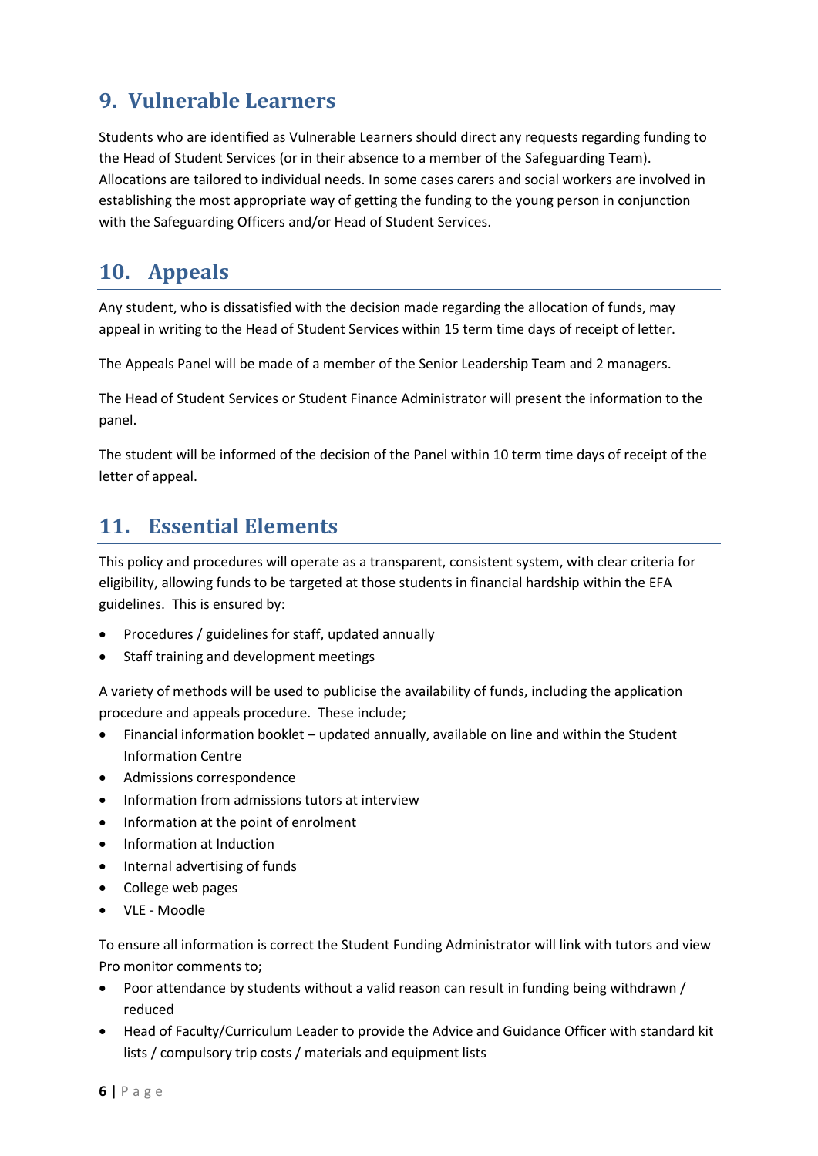# <span id="page-5-0"></span>**9. Vulnerable Learners**

Students who are identified as Vulnerable Learners should direct any requests regarding funding to the Head of Student Services (or in their absence to a member of the Safeguarding Team). Allocations are tailored to individual needs. In some cases carers and social workers are involved in establishing the most appropriate way of getting the funding to the young person in conjunction with the Safeguarding Officers and/or Head of Student Services.

## <span id="page-5-1"></span>**10. Appeals**

Any student, who is dissatisfied with the decision made regarding the allocation of funds, may appeal in writing to the Head of Student Services within 15 term time days of receipt of letter.

The Appeals Panel will be made of a member of the Senior Leadership Team and 2 managers.

The Head of Student Services or Student Finance Administrator will present the information to the panel.

The student will be informed of the decision of the Panel within 10 term time days of receipt of the letter of appeal.

## <span id="page-5-2"></span>**11. Essential Elements**

This policy and procedures will operate as a transparent, consistent system, with clear criteria for eligibility, allowing funds to be targeted at those students in financial hardship within the EFA guidelines. This is ensured by:

- Procedures / guidelines for staff, updated annually
- Staff training and development meetings

A variety of methods will be used to publicise the availability of funds, including the application procedure and appeals procedure. These include;

- Financial information booklet updated annually, available on line and within the Student Information Centre
- Admissions correspondence
- Information from admissions tutors at interview
- Information at the point of enrolment
- Information at Induction
- Internal advertising of funds
- College web pages
- VLE Moodle

To ensure all information is correct the Student Funding Administrator will link with tutors and view Pro monitor comments to;

- Poor attendance by students without a valid reason can result in funding being withdrawn / reduced
- Head of Faculty/Curriculum Leader to provide the Advice and Guidance Officer with standard kit lists / compulsory trip costs / materials and equipment lists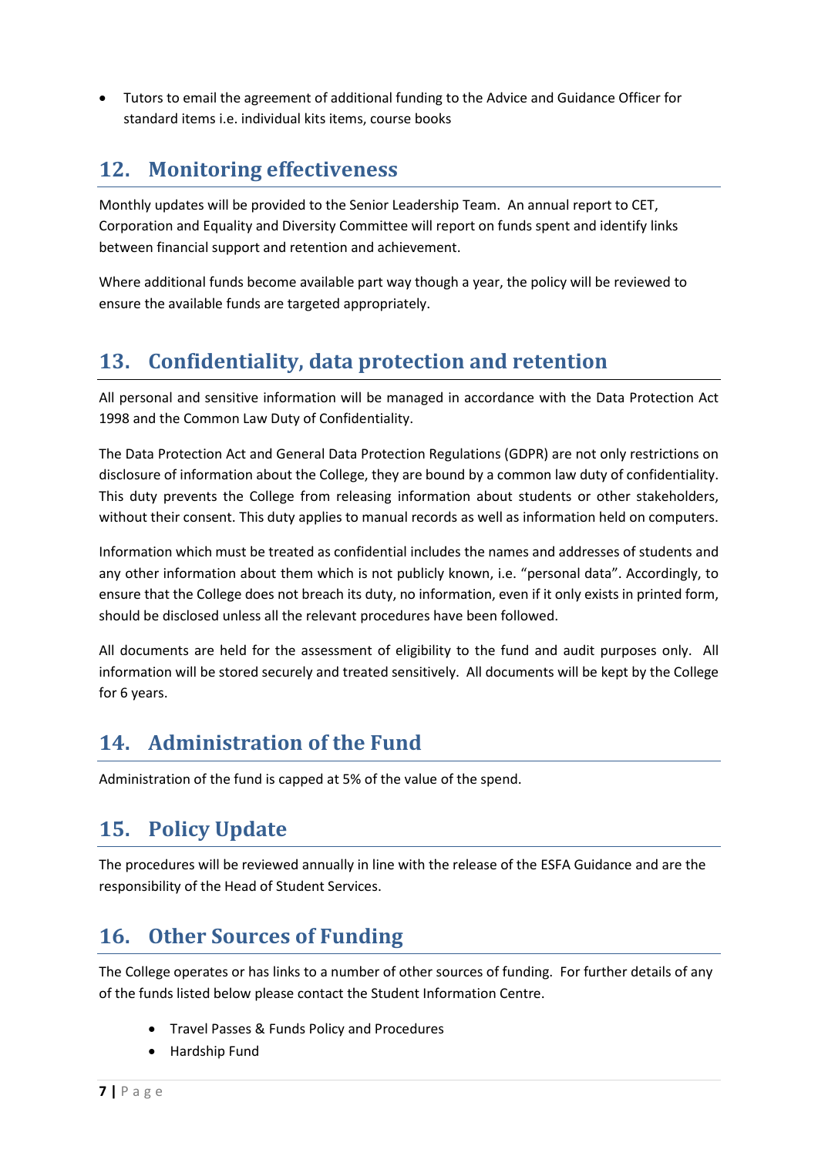Tutors to email the agreement of additional funding to the Advice and Guidance Officer for standard items i.e. individual kits items, course books

## <span id="page-6-0"></span>**12. Monitoring effectiveness**

Monthly updates will be provided to the Senior Leadership Team. An annual report to CET, Corporation and Equality and Diversity Committee will report on funds spent and identify links between financial support and retention and achievement.

Where additional funds become available part way though a year, the policy will be reviewed to ensure the available funds are targeted appropriately.

## <span id="page-6-1"></span>**13. Confidentiality, data protection and retention**

All personal and sensitive information will be managed in accordance with the Data Protection Act 1998 and the Common Law Duty of Confidentiality.

The Data Protection Act and General Data Protection Regulations (GDPR) are not only restrictions on disclosure of information about the College, they are bound by a common law duty of confidentiality. This duty prevents the College from releasing information about students or other stakeholders, without their consent. This duty applies to manual records as well as information held on computers.

Information which must be treated as confidential includes the names and addresses of students and any other information about them which is not publicly known, i.e. "personal data". Accordingly, to ensure that the College does not breach its duty, no information, even if it only exists in printed form, should be disclosed unless all the relevant procedures have been followed.

All documents are held for the assessment of eligibility to the fund and audit purposes only. All information will be stored securely and treated sensitively. All documents will be kept by the College for 6 years.

## <span id="page-6-2"></span>**14. Administration of the Fund**

<span id="page-6-3"></span>Administration of the fund is capped at 5% of the value of the spend.

## **15. Policy Update**

The procedures will be reviewed annually in line with the release of the ESFA Guidance and are the responsibility of the Head of Student Services.

## <span id="page-6-4"></span>**16. Other Sources of Funding**

The College operates or has links to a number of other sources of funding. For further details of any of the funds listed below please contact the Student Information Centre.

- **•** Travel Passes & Funds Policy and Procedures
- Hardship Fund